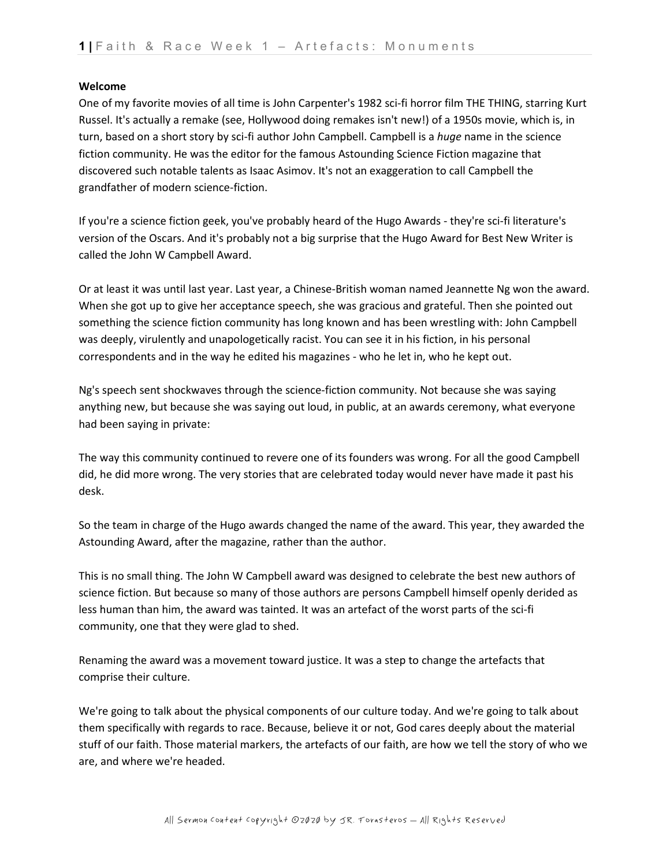## **Welcome**

One of my favorite movies of all time is John Carpenter's 1982 sci-fi horror film THE THING, starring Kurt Russel. It's actually a remake (see, Hollywood doing remakes isn't new!) of a 1950s movie, which is, in turn, based on a short story by sci-fi author John Campbell. Campbell is a *huge* name in the science fiction community. He was the editor for the famous Astounding Science Fiction magazine that discovered such notable talents as Isaac Asimov. It's not an exaggeration to call Campbell the grandfather of modern science-fiction.

If you're a science fiction geek, you've probably heard of the Hugo Awards - they're sci-fi literature's version of the Oscars. And it's probably not a big surprise that the Hugo Award for Best New Writer is called the John W Campbell Award.

Or at least it was until last year. Last year, a Chinese-British woman named Jeannette Ng won the award. When she got up to give her acceptance speech, she was gracious and grateful. Then she pointed out something the science fiction community has long known and has been wrestling with: John Campbell was deeply, virulently and unapologetically racist. You can see it in his fiction, in his personal correspondents and in the way he edited his magazines - who he let in, who he kept out.

Ng's speech sent shockwaves through the science-fiction community. Not because she was saying anything new, but because she was saying out loud, in public, at an awards ceremony, what everyone had been saying in private:

The way this community continued to revere one of its founders was wrong. For all the good Campbell did, he did more wrong. The very stories that are celebrated today would never have made it past his desk.

So the team in charge of the Hugo awards changed the name of the award. This year, they awarded the Astounding Award, after the magazine, rather than the author.

This is no small thing. The John W Campbell award was designed to celebrate the best new authors of science fiction. But because so many of those authors are persons Campbell himself openly derided as less human than him, the award was tainted. It was an artefact of the worst parts of the sci-fi community, one that they were glad to shed.

Renaming the award was a movement toward justice. It was a step to change the artefacts that comprise their culture.

We're going to talk about the physical components of our culture today. And we're going to talk about them specifically with regards to race. Because, believe it or not, God cares deeply about the material stuff of our faith. Those material markers, the artefacts of our faith, are how we tell the story of who we are, and where we're headed.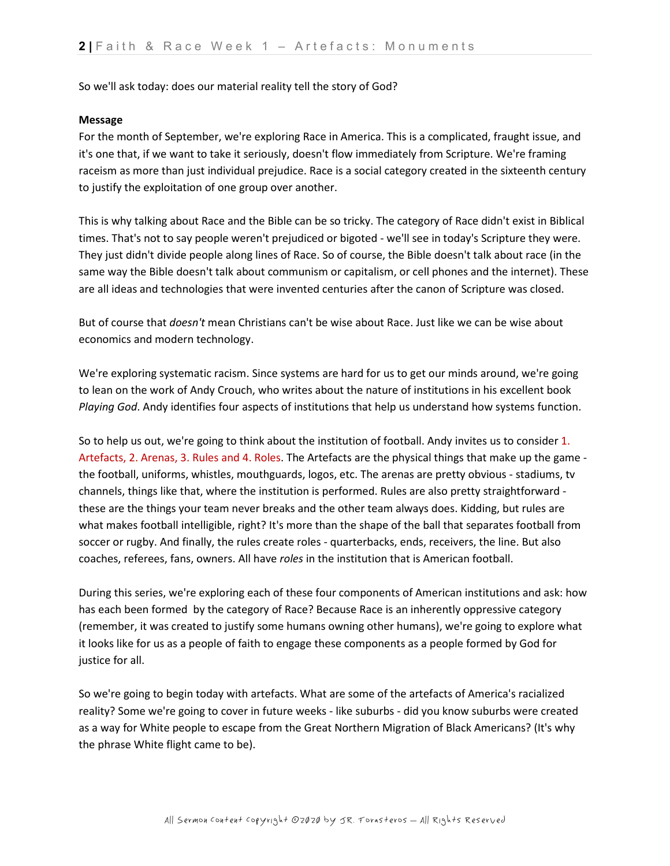So we'll ask today: does our material reality tell the story of God?

## **Message**

For the month of September, we're exploring Race in America. This is a complicated, fraught issue, and it's one that, if we want to take it seriously, doesn't flow immediately from Scripture. We're framing raceism as more than just individual prejudice. Race is a social category created in the sixteenth century to justify the exploitation of one group over another.

This is why talking about Race and the Bible can be so tricky. The category of Race didn't exist in Biblical times. That's not to say people weren't prejudiced or bigoted - we'll see in today's Scripture they were. They just didn't divide people along lines of Race. So of course, the Bible doesn't talk about race (in the same way the Bible doesn't talk about communism or capitalism, or cell phones and the internet). These are all ideas and technologies that were invented centuries after the canon of Scripture was closed.

But of course that *doesn't* mean Christians can't be wise about Race. Just like we can be wise about economics and modern technology.

We're exploring systematic racism. Since systems are hard for us to get our minds around, we're going to lean on the work of Andy Crouch, who writes about the nature of institutions in his excellent book *Playing God*. Andy identifies four aspects of institutions that help us understand how systems function.

So to help us out, we're going to think about the institution of football. Andy invites us to consider 1. Artefacts, 2. Arenas, 3. Rules and 4. Roles. The Artefacts are the physical things that make up the game the football, uniforms, whistles, mouthguards, logos, etc. The arenas are pretty obvious - stadiums, tv channels, things like that, where the institution is performed. Rules are also pretty straightforward these are the things your team never breaks and the other team always does. Kidding, but rules are what makes football intelligible, right? It's more than the shape of the ball that separates football from soccer or rugby. And finally, the rules create roles - quarterbacks, ends, receivers, the line. But also coaches, referees, fans, owners. All have *roles* in the institution that is American football.

During this series, we're exploring each of these four components of American institutions and ask: how has each been formed by the category of Race? Because Race is an inherently oppressive category (remember, it was created to justify some humans owning other humans), we're going to explore what it looks like for us as a people of faith to engage these components as a people formed by God for justice for all.

So we're going to begin today with artefacts. What are some of the artefacts of America's racialized reality? Some we're going to cover in future weeks - like suburbs - did you know suburbs were created as a way for White people to escape from the Great Northern Migration of Black Americans? (It's why the phrase White flight came to be).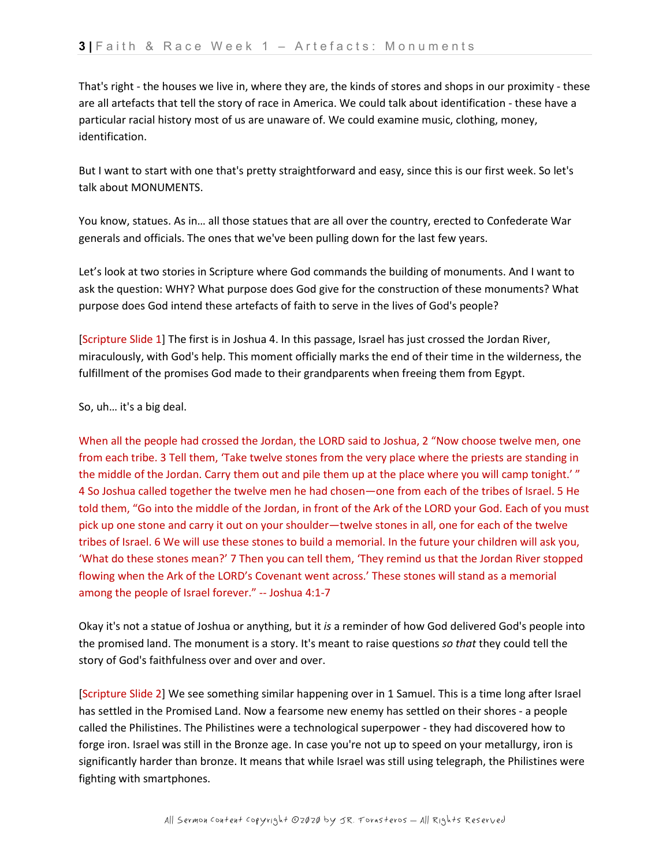That's right - the houses we live in, where they are, the kinds of stores and shops in our proximity - these are all artefacts that tell the story of race in America. We could talk about identification - these have a particular racial history most of us are unaware of. We could examine music, clothing, money, identification.

But I want to start with one that's pretty straightforward and easy, since this is our first week. So let's talk about MONUMENTS.

You know, statues. As in… all those statues that are all over the country, erected to Confederate War generals and officials. The ones that we've been pulling down for the last few years.

Let's look at two stories in Scripture where God commands the building of monuments. And I want to ask the question: WHY? What purpose does God give for the construction of these monuments? What purpose does God intend these artefacts of faith to serve in the lives of God's people?

[Scripture Slide 1] The first is in Joshua 4. In this passage, Israel has just crossed the Jordan River, miraculously, with God's help. This moment officially marks the end of their time in the wilderness, the fulfillment of the promises God made to their grandparents when freeing them from Egypt.

So, uh… it's a big deal.

When all the people had crossed the Jordan, the LORD said to Joshua, 2 "Now choose twelve men, one from each tribe. 3 Tell them, 'Take twelve stones from the very place where the priests are standing in the middle of the Jordan. Carry them out and pile them up at the place where you will camp tonight.' " 4 So Joshua called together the twelve men he had chosen—one from each of the tribes of Israel. 5 He told them, "Go into the middle of the Jordan, in front of the Ark of the LORD your God. Each of you must pick up one stone and carry it out on your shoulder—twelve stones in all, one for each of the twelve tribes of Israel. 6 We will use these stones to build a memorial. In the future your children will ask you, 'What do these stones mean?' 7 Then you can tell them, 'They remind us that the Jordan River stopped flowing when the Ark of the LORD's Covenant went across.' These stones will stand as a memorial among the people of Israel forever." -- Joshua 4:1-7

Okay it's not a statue of Joshua or anything, but it *is* a reminder of how God delivered God's people into the promised land. The monument is a story. It's meant to raise questions *so that* they could tell the story of God's faithfulness over and over and over.

[Scripture Slide 2] We see something similar happening over in 1 Samuel. This is a time long after Israel has settled in the Promised Land. Now a fearsome new enemy has settled on their shores - a people called the Philistines. The Philistines were a technological superpower - they had discovered how to forge iron. Israel was still in the Bronze age. In case you're not up to speed on your metallurgy, iron is significantly harder than bronze. It means that while Israel was still using telegraph, the Philistines were fighting with smartphones.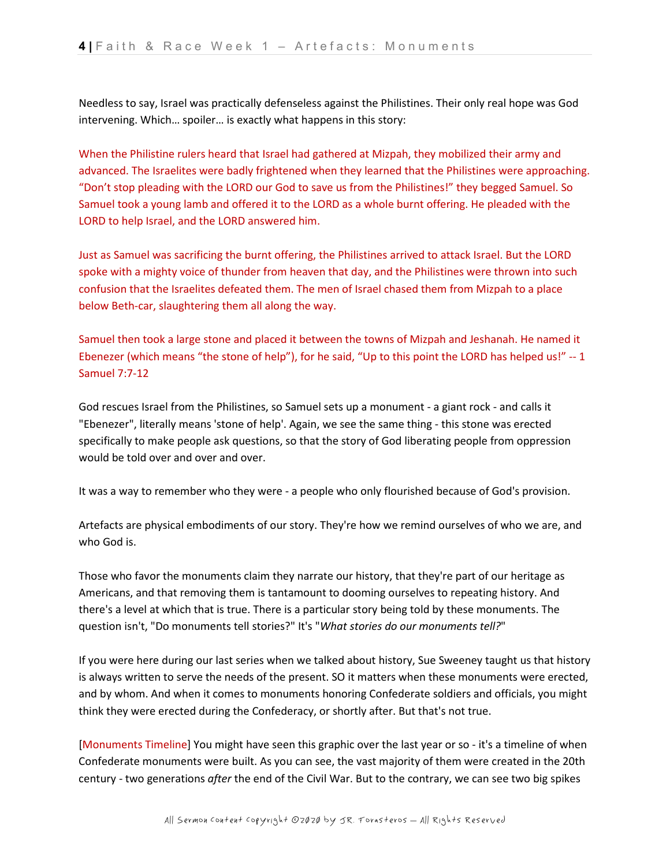Needless to say, Israel was practically defenseless against the Philistines. Their only real hope was God intervening. Which… spoiler… is exactly what happens in this story:

When the Philistine rulers heard that Israel had gathered at Mizpah, they mobilized their army and advanced. The Israelites were badly frightened when they learned that the Philistines were approaching. "Don't stop pleading with the LORD our God to save us from the Philistines!" they begged Samuel. So Samuel took a young lamb and offered it to the LORD as a whole burnt offering. He pleaded with the LORD to help Israel, and the LORD answered him.

Just as Samuel was sacrificing the burnt offering, the Philistines arrived to attack Israel. But the LORD spoke with a mighty voice of thunder from heaven that day, and the Philistines were thrown into such confusion that the Israelites defeated them. The men of Israel chased them from Mizpah to a place below Beth-car, slaughtering them all along the way.

Samuel then took a large stone and placed it between the towns of Mizpah and Jeshanah. He named it Ebenezer (which means "the stone of help"), for he said, "Up to this point the LORD has helped us!" -- 1 Samuel 7:7-12

God rescues Israel from the Philistines, so Samuel sets up a monument - a giant rock - and calls it "Ebenezer", literally means 'stone of help'. Again, we see the same thing - this stone was erected specifically to make people ask questions, so that the story of God liberating people from oppression would be told over and over and over.

It was a way to remember who they were - a people who only flourished because of God's provision.

Artefacts are physical embodiments of our story. They're how we remind ourselves of who we are, and who God is.

Those who favor the monuments claim they narrate our history, that they're part of our heritage as Americans, and that removing them is tantamount to dooming ourselves to repeating history. And there's a level at which that is true. There is a particular story being told by these monuments. The question isn't, "Do monuments tell stories?" It's "*What stories do our monuments tell?*"

If you were here during our last series when we talked about history, Sue Sweeney taught us that history is always written to serve the needs of the present. SO it matters when these monuments were erected, and by whom. And when it comes to monuments honoring Confederate soldiers and officials, you might think they were erected during the Confederacy, or shortly after. But that's not true.

[Monuments Timeline] You might have seen this graphic over the last year or so - it's a timeline of when Confederate monuments were built. As you can see, the vast majority of them were created in the 20th century - two generations *after* the end of the Civil War. But to the contrary, we can see two big spikes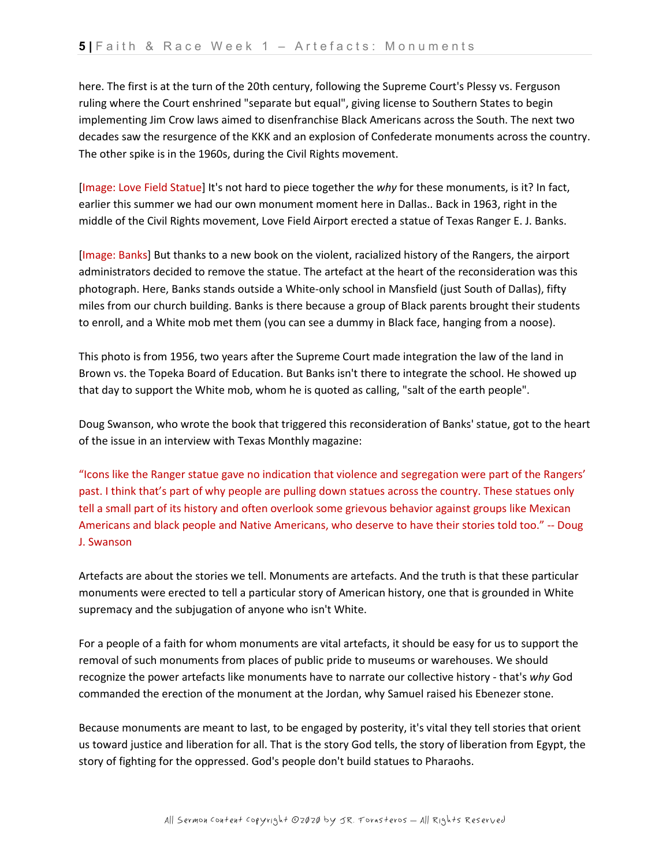here. The first is at the turn of the 20th century, following the Supreme Court's Plessy vs. Ferguson ruling where the Court enshrined "separate but equal", giving license to Southern States to begin implementing Jim Crow laws aimed to disenfranchise Black Americans across the South. The next two decades saw the resurgence of the KKK and an explosion of Confederate monuments across the country. The other spike is in the 1960s, during the Civil Rights movement.

[Image: Love Field Statue] It's not hard to piece together the *why* for these monuments, is it? In fact, earlier this summer we had our own monument moment here in Dallas.. Back in 1963, right in the middle of the Civil Rights movement, Love Field Airport erected a statue of Texas Ranger E. J. Banks.

[Image: Banks] But thanks to a new book on the violent, racialized history of the Rangers, the airport administrators decided to remove the statue. The artefact at the heart of the reconsideration was this photograph. Here, Banks stands outside a White-only school in Mansfield (just South of Dallas), fifty miles from our church building. Banks is there because a group of Black parents brought their students to enroll, and a White mob met them (you can see a dummy in Black face, hanging from a noose).

This photo is from 1956, two years after the Supreme Court made integration the law of the land in Brown vs. the Topeka Board of Education. But Banks isn't there to integrate the school. He showed up that day to support the White mob, whom he is quoted as calling, "salt of the earth people".

Doug Swanson, who wrote the book that triggered this reconsideration of Banks' statue, got to the heart of the issue in an interview with Texas Monthly magazine:

"Icons like the Ranger statue gave no indication that violence and segregation were part of the Rangers' past. I think that's part of why people are pulling down statues across the country. These statues only tell a small part of its history and often overlook some grievous behavior against groups like Mexican Americans and black people and Native Americans, who deserve to have their stories told too." -- Doug J. Swanson

Artefacts are about the stories we tell. Monuments are artefacts. And the truth is that these particular monuments were erected to tell a particular story of American history, one that is grounded in White supremacy and the subjugation of anyone who isn't White.

For a people of a faith for whom monuments are vital artefacts, it should be easy for us to support the removal of such monuments from places of public pride to museums or warehouses. We should recognize the power artefacts like monuments have to narrate our collective history - that's *why* God commanded the erection of the monument at the Jordan, why Samuel raised his Ebenezer stone.

Because monuments are meant to last, to be engaged by posterity, it's vital they tell stories that orient us toward justice and liberation for all. That is the story God tells, the story of liberation from Egypt, the story of fighting for the oppressed. God's people don't build statues to Pharaohs.